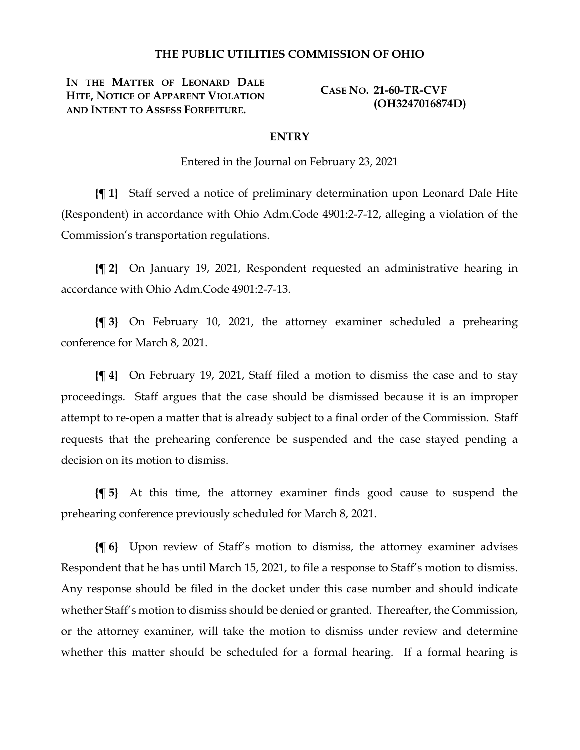#### **THE PUBLIC UTILITIES COMMISSION OF OHIO**

**IN THE MATTER OF LEONARD DALE HITE, NOTICE OF APPARENT VIOLATION AND INTENT TO ASSESS FORFEITURE.**

**CASE NO. 21-60-TR-CVF (OH3247016874D)**

#### **ENTRY**

Entered in the Journal on February 23, 2021

**{¶ 1}** Staff served a notice of preliminary determination upon Leonard Dale Hite (Respondent) in accordance with Ohio Adm.Code 4901:2-7-12, alleging a violation of the Commission's transportation regulations.

**{¶ 2}** On January 19, 2021, Respondent requested an administrative hearing in accordance with Ohio Adm.Code 4901:2-7-13.

**{¶ 3}** On February 10, 2021, the attorney examiner scheduled a prehearing conference for March 8, 2021.

**{¶ 4}** On February 19, 2021, Staff filed a motion to dismiss the case and to stay proceedings. Staff argues that the case should be dismissed because it is an improper attempt to re-open a matter that is already subject to a final order of the Commission. Staff requests that the prehearing conference be suspended and the case stayed pending a decision on its motion to dismiss.

**{¶ 5}** At this time, the attorney examiner finds good cause to suspend the prehearing conference previously scheduled for March 8, 2021.

**{¶ 6}** Upon review of Staff's motion to dismiss, the attorney examiner advises Respondent that he has until March 15, 2021, to file a response to Staff's motion to dismiss. Any response should be filed in the docket under this case number and should indicate whether Staff's motion to dismiss should be denied or granted. Thereafter, the Commission, or the attorney examiner, will take the motion to dismiss under review and determine whether this matter should be scheduled for a formal hearing. If a formal hearing is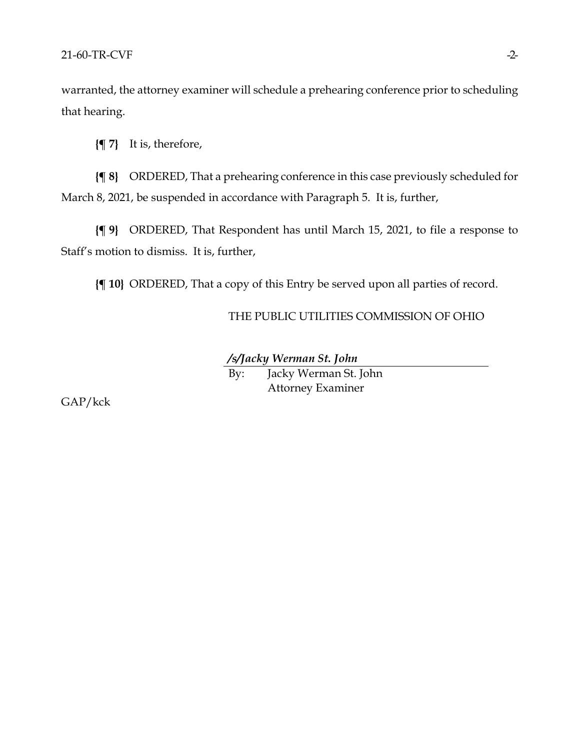warranted, the attorney examiner will schedule a prehearing conference prior to scheduling that hearing.

**{¶ 7}** It is, therefore,

**{¶ 8}** ORDERED, That a prehearing conference in this case previously scheduled for March 8, 2021, be suspended in accordance with Paragraph 5. It is, further,

**{¶ 9}** ORDERED, That Respondent has until March 15, 2021, to file a response to Staff's motion to dismiss. It is, further,

**{¶ 10}** ORDERED, That a copy of this Entry be served upon all parties of record.

THE PUBLIC UTILITIES COMMISSION OF OHIO

*/s/Jacky Werman St. John*

By: Jacky Werman St. John Attorney Examiner

GAP/kck